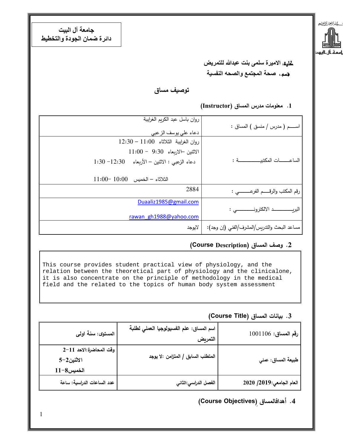**جامعة آل البيت دائرة ضمان الجودة والتخطيط** 



 كلية: **الاميرة سلمى بنت عبدالله للتمريض** قسم. : **صحة المجتمع والصحه النفسية**

**تʦصʃॻ مʴاق** 

#### **.1 معلʦمات مʗرس الʴʸاق (Instructor (**

| روان باسل عبد الكريم الغرايبة<br>دعاء على يوسف الزعبي                   | اســــــم ( مدرس / منسق ) المساق :          |
|-------------------------------------------------------------------------|---------------------------------------------|
| روان الغرايبة الثلاثاء 11:00 - 12:30<br>$11:00 - 9:30$ الاثنين الاربعاء |                                             |
| $1:30 - 12:30$ دعاء الزعبي : الاثنين - الأربعاء $-12:30$                |                                             |
| $11:00-10:00$ الثلاثاء – الخميس                                         |                                             |
| 2884                                                                    | رقم المكتب والرقـــــم الفرعــــــــــى :   |
| Duaaliz1985@gmail.com                                                   |                                             |
| rawan gh1988@yahoo.com                                                  |                                             |
| لايوجد                                                                  | مساعد البحث والتدريس/المشرف/الفني (إن وجد): |

## **.2 وصف الʴʸاق (Description Course (**

This course provides student practical view of physiology, and the relation between the theoretical part of physiology and the clinicalone, it is also concentrate on the principle of methodology in the medical field and the related to the topics of human body system assessment

#### **.3 بॻانات الʴʸاق (Title Course (**

| رقم المساق: 1001106      | اسم المساق: علم الفسيولوجيا العملي لطلبة<br>التمربض | المستوى: سنة اولى                                   |
|--------------------------|-----------------------------------------------------|-----------------------------------------------------|
| طبيعة المساق: عملي       | المتطلب السابق / المتزامن :لا يوجد                  | وقت المحاضرة:الاحد 11-2<br>الاثنين2-5<br>الخميس8-11 |
| العام الجامعي:2019/ 2020 | الفصل الدراسي:الثاني                                | عدد الساعات الدراسية: ساعة                          |

## **(Course Objectives)ِ اقʴʸافالʗأه .4**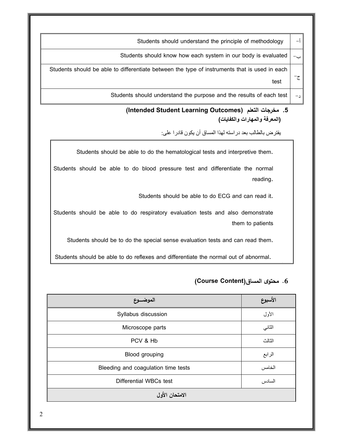Students should understand the principle of methodology  $\vert -i \rangle$ Students should know how each system in our body is evaluated  $\vert -$ ج- Students should be able to differentiate between the type of instruments that is used in each test Students should understand the purpose and the results of each test  $\vert -1$ 

## **(Intended Student Learning Outcomes) ʤعلʯال جاتʙʳم .5 (المعرفة والمهارات والكفايات)**

يفترض بالطالب بعد دراسته لهذا المساق أن يكون قادرا على:

Students should be able to do the hematological tests and interpretive them.

Students should be able to do blood pressure test and differentiate the normal reading.

Students should be able to do ECG and can read it.

Students should be able to do respiratory evaluation tests and also demonstrate them to patients

Students should be to do the special sense evaluation tests and can read them.

Students should be able to do reflexes and differentiate the normal out of abnormal. .1

#### **(Course Content)اقʴʸال Ȏʦʯʲم .6**

| الموضـــوع                          | الأسبوع |  |
|-------------------------------------|---------|--|
| Syllabus discussion                 | الأول   |  |
| Microscope parts                    | الثاني  |  |
| PCV & Hb                            | الثالث  |  |
| Blood grouping                      | الرابع  |  |
| Bleeding and coagulation time tests | الخامس  |  |
| Differential WBCs test              | السادس  |  |
| الامتحان الأول                      |         |  |